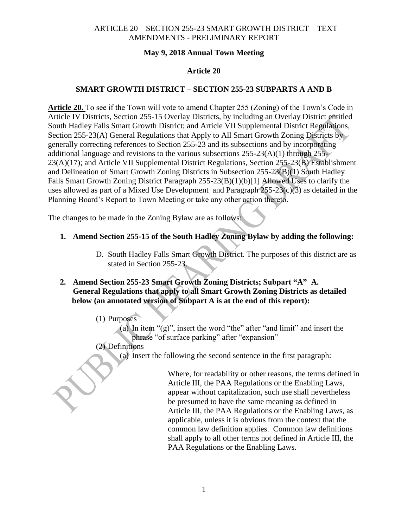## **May 9, 2018 Annual Town Meeting**

## **Article 20**

## **SMART GROWTH DISTRICT – SECTION 255-23 SUBPARTS A AND B**

**Article 20.** To see if the Town will vote to amend Chapter 255 (Zoning) of the Town's Code in Article IV Districts, Section 255-15 Overlay Districts, by including an Overlay District entitled South Hadley Falls Smart Growth District; and Article VII Supplemental District Regulations, Section 255-23(A) General Regulations that Apply to All Smart Growth Zoning Districts by generally correcting references to Section 255-23 and its subsections and by incorporating additional language and revisions to the various subsections  $255-23(A)(1)$  through  $255-$ 23(A)(17); and Article VII Supplemental District Regulations, Section 255-23(B) Establishment and Delineation of Smart Growth Zoning Districts in Subsection 255-23(B)(1) South Hadley Falls Smart Growth Zoning District Paragraph 255-23(B)(1)(b)[1] Allowed Uses to clarify the uses allowed as part of a Mixed Use Development and Paragraph 255-23(c)(3) as detailed in the Planning Board's Report to Town Meeting or take any other action thereto.

The changes to be made in the Zoning Bylaw are as follows:

- **1. Amend Section 255-15 of the South Hadley Zoning Bylaw by adding the following:**
	- D. South Hadley Falls Smart Growth District. The purposes of this district are as stated in Section 255-23.

# **2. Amend Section 255-23 Smart Growth Zoning Districts; Subpart "A" A. General Regulations that apply to all Smart Growth Zoning Districts as detailed below (an annotated version of Subpart A is at the end of this report):**

(1) Purposes

(a) In item " $(g)$ ", insert the word "the" after "and limit" and insert the phrase "of surface parking" after "expansion"

## (2) Definitions

(a) Insert the following the second sentence in the first paragraph:

Where, for readability or other reasons, the terms defined in Article III, the PAA Regulations or the Enabling Laws, appear without capitalization, such use shall nevertheless be presumed to have the same meaning as defined in Article III, the PAA Regulations or the Enabling Laws, as applicable, unless it is obvious from the context that the common law definition applies. Common law definitions shall apply to all other terms not defined in Article III, the PAA Regulations or the Enabling Laws.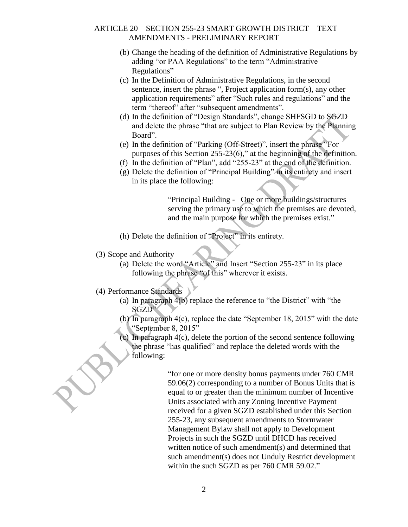- (b) Change the heading of the definition of Administrative Regulations by adding "or PAA Regulations" to the term "Administrative Regulations"
- (c) In the Definition of Administrative Regulations, in the second sentence, insert the phrase ", Project application form(s), any other application requirements" after "Such rules and regulations" and the term "thereof" after "subsequent amendments".
- (d) In the definition of "Design Standards", change SHFSGD to SGZD and delete the phrase "that are subject to Plan Review by the Planning Board".
- (e) In the definition of "Parking (Off-Street)", insert the phrase "For purposes of this Section 255-23(6)," at the beginning of the definition.
- (f) In the definition of "Plan", add "255-23" at the end of the definition.
- (g) Delete the definition of "Principal Building" in its entirety and insert in its place the following:

"Principal Building -– One or more buildings/structures serving the primary use to which the premises are devoted, and the main purpose for which the premises exist."

- (h) Delete the definition of "Project" in its entirety.
- (3) Scope and Authority
	- (a) Delete the word "Article" and Insert "Section 255-23" in its place following the phrase "of this" wherever it exists.
- (4) Performance Standards
	- (a) In paragraph 4(b) replace the reference to "the District" with "the SGZD"
	- (b) In paragraph 4(c), replace the date "September 18, 2015" with the date "September 8, 2015"
	- (c) In paragraph 4(c), delete the portion of the second sentence following the phrase "has qualified" and replace the deleted words with the following:

"for one or more density bonus payments under 760 CMR 59.06(2) corresponding to a number of Bonus Units that is equal to or greater than the minimum number of Incentive Units associated with any Zoning Incentive Payment received for a given SGZD established under this Section 255-23, any subsequent amendments to Stormwater Management Bylaw shall not apply to Development Projects in such the SGZD until DHCD has received written notice of such amendment(s) and determined that such amendment(s) does not Unduly Restrict development within the such SGZD as per 760 CMR 59.02."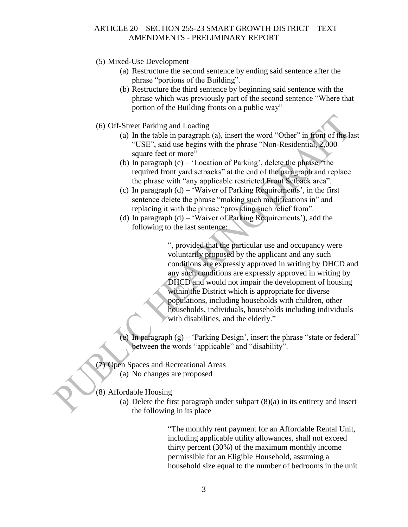- (5) Mixed-Use Development
	- (a) Restructure the second sentence by ending said sentence after the phrase "portions of the Building".
	- (b) Restructure the third sentence by beginning said sentence with the phrase which was previously part of the second sentence "Where that portion of the Building fronts on a public way"
- (6) Off-Street Parking and Loading
	- (a) In the table in paragraph (a), insert the word "Other" in front of the last "USE", said use begins with the phrase "Non-Residential, 2,000 square feet or more"
	- (b) In paragraph (c) 'Location of Parking', delete the phrase "the required front yard setbacks" at the end of the paragraph and replace the phrase with "any applicable restricted Front Setback area".
	- (c) In paragraph  $(d)$  'Waiver of Parking Requirements', in the first sentence delete the phrase "making such modifications in" and replacing it with the phrase "providing such relief from".
	- (d) In paragraph (d) 'Waiver of Parking Requirements'), add the following to the last sentence:

", provided that the particular use and occupancy were voluntarily proposed by the applicant and any such conditions are expressly approved in writing by DHCD and any such conditions are expressly approved in writing by DHCD and would not impair the development of housing within the District which is appropriate for diverse populations, including households with children, other households, individuals, households including individuals with disabilities, and the elderly."

- (e) In paragraph (g) 'Parking Design', insert the phrase "state or federal" between the words "applicable" and "disability".
- (7) Open Spaces and Recreational Areas (a) No changes are proposed

## (8) Affordable Housing

(a) Delete the first paragraph under subpart (8)(a) in its entirety and insert the following in its place

> "The monthly rent payment for an Affordable Rental Unit, including applicable utility allowances, shall not exceed thirty percent (30%) of the maximum monthly income permissible for an Eligible Household, assuming a household size equal to the number of bedrooms in the unit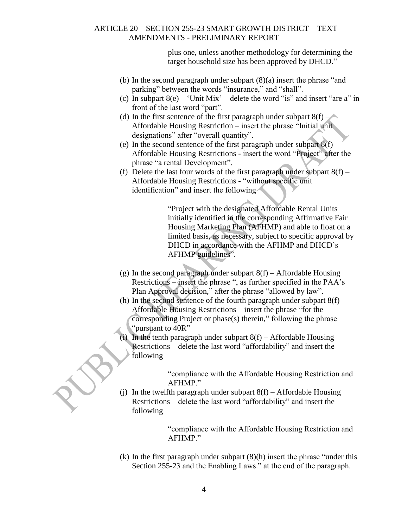plus one, unless another methodology for determining the target household size has been approved by DHCD."

- (b) In the second paragraph under subpart (8)(a) insert the phrase "and parking" between the words "insurance," and "shall".
- (c) In subpart  $8(e)$  'Unit Mix' delete the word "is" and insert "are a" in front of the last word "part".
- (d) In the first sentence of the first paragraph under subpart  $8(f)$  Affordable Housing Restriction – insert the phrase "Initial unit designations" after "overall quantity".
- (e) In the second sentence of the first paragraph under subpart 8(f) Affordable Housing Restrictions - insert the word "Project" after the phrase "a rental Development".
- (f) Delete the last four words of the first paragraph under subpart  $8(f)$  Affordable Housing Restrictions - "without specific unit identification" and insert the following

"Project with the designated Affordable Rental Units initially identified in the corresponding Affirmative Fair Housing Marketing Plan (AFHMP) and able to float on a limited basis, as necessary, subject to specific approval by DHCD in accordance with the AFHMP and DHCD's AFHMP guidelines".

- (g) In the second paragraph under subpart  $8(f)$  Affordable Housing Restrictions – insert the phrase ", as further specified in the PAA's Plan Approval decision," after the phrase "allowed by law".
- (h) In the second sentence of the fourth paragraph under subpart  $8(f)$  Affordable Housing Restrictions – insert the phrase "for the corresponding Project or phase(s) therein," following the phrase "pursuant to 40R"
- (i) In the tenth paragraph under subpart  $8(f)$  Affordable Housing Restrictions – delete the last word "affordability" and insert the following

"compliance with the Affordable Housing Restriction and AFHMP."

(i) In the twelfth paragraph under subpart  $8(f)$  – Affordable Housing Restrictions – delete the last word "affordability" and insert the following

> "compliance with the Affordable Housing Restriction and AFHMP."

(k) In the first paragraph under subpart (8)(h) insert the phrase "under this Section 255-23 and the Enabling Laws." at the end of the paragraph.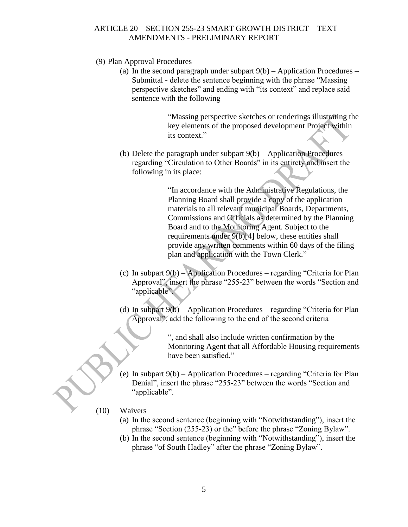- (9) Plan Approval Procedures
	- (a) In the second paragraph under subpart  $9(b)$  Application Procedures Submittal - delete the sentence beginning with the phrase "Massing perspective sketches" and ending with "its context" and replace said sentence with the following

"Massing perspective sketches or renderings illustrating the key elements of the proposed development Project within its context."

(b) Delete the paragraph under subpart 9(b) – Application Procedures – regarding "Circulation to Other Boards" in its entirety and insert the following in its place:

> "In accordance with the Administrative Regulations, the Planning Board shall provide a copy of the application materials to all relevant municipal Boards, Departments, Commissions and Officials as determined by the Planning Board and to the Monitoring Agent. Subject to the requirements under 9(b)[4] below, these entities shall provide any written comments within 60 days of the filing plan and application with the Town Clerk."

- (c) In subpart 9(b) Application Procedures regarding "Criteria for Plan Approval", insert the phrase "255-23" between the words "Section and "applicable".
- (d) In subpart 9(b) Application Procedures regarding "Criteria for Plan Approval", add the following to the end of the second criteria

", and shall also include written confirmation by the Monitoring Agent that all Affordable Housing requirements have been satisfied."

(e) In subpart 9(b) – Application Procedures – regarding "Criteria for Plan Denial", insert the phrase "255-23" between the words "Section and "applicable".

#### (10) Waivers

- (a) In the second sentence (beginning with "Notwithstanding"), insert the phrase "Section (255-23) or the" before the phrase "Zoning Bylaw".
- (b) In the second sentence (beginning with "Notwithstanding"), insert the phrase "of South Hadley" after the phrase "Zoning Bylaw".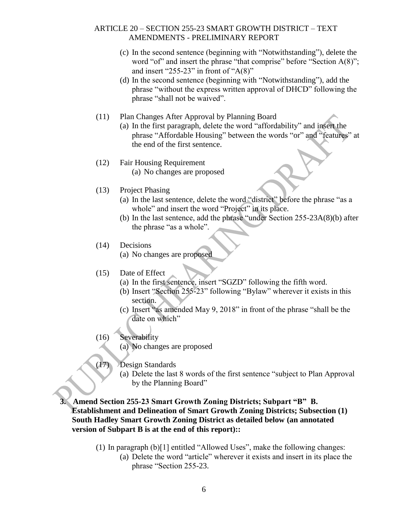- (c) In the second sentence (beginning with "Notwithstanding"), delete the word "of" and insert the phrase "that comprise" before "Section A(8)"; and insert "255-23" in front of " $A(8)$ "
- (d) In the second sentence (beginning with "Notwithstanding"), add the phrase "without the express written approval of DHCD" following the phrase "shall not be waived".
- (11) Plan Changes After Approval by Planning Board
	- (a) In the first paragraph, delete the word "affordability" and insert the phrase "Affordable Housing" between the words "or" and "features" at the end of the first sentence.
- (12) Fair Housing Requirement (a) No changes are proposed
- (13) Project Phasing
	- (a) In the last sentence, delete the word "district" before the phrase "as a whole" and insert the word "Project" in its place.
	- (b) In the last sentence, add the phrase "under Section 255-23A(8)(b) after the phrase "as a whole".
- (14) Decisions
	- (a) No changes are proposed
- (15) Date of Effect
	- (a) In the first sentence, insert "SGZD" following the fifth word.
	- (b) Insert "Section 255-23" following "Bylaw" wherever it exists in this section.
	- (c) Insert "as amended May 9, 2018" in front of the phrase "shall be the date on which"
- (16) Severability
	- (a) No changes are proposed
- (17) Design Standards
	- (a) Delete the last 8 words of the first sentence "subject to Plan Approval by the Planning Board"

**3. Amend Section 255-23 Smart Growth Zoning Districts; Subpart "B" B. Establishment and Delineation of Smart Growth Zoning Districts; Subsection (1) South Hadley Smart Growth Zoning District as detailed below (an annotated version of Subpart B is at the end of this report)::**

> (1) In paragraph  $(b)[1]$  entitled "Allowed Uses", make the following changes: (a) Delete the word "article" wherever it exists and insert in its place the phrase "Section 255-23.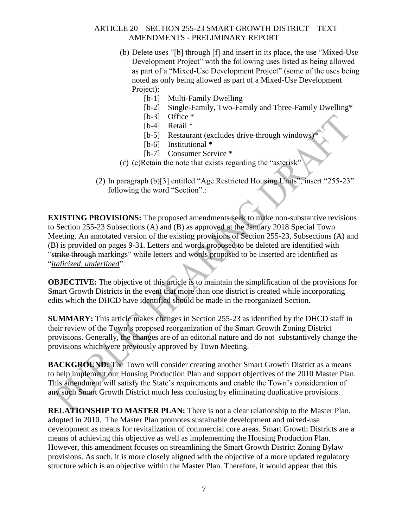- (b) Delete uses "[b] through [f] and insert in its place, the use "Mixed-Use Development Project" with the following uses listed as being allowed as part of a "Mixed-Use Development Project" (some of the uses being noted as only being allowed as part of a Mixed-Use Development Project):
	- [b-1] Multi-Family Dwelling
	- [b-2] Single-Family, Two-Family and Three-Family Dwelling\*
	- [b-3] Office  $*$
	- [b-4] Retail \*
	- [b-5] Restaurant (excludes drive-through windows)
	- [b-6] Institutional  $*$
	- [b-7] Consumer Service \*
- $(c)$  (c) Retain the note that exists regarding the "asterisk"
- (2) In paragraph (b)[3] entitled "Age Restricted Housing Units", insert "255-23" following the word "Section".:

**EXISTING PROVISIONS:** The proposed amendments seek to make non-substantive revisions to Section 255-23 Subsections (A) and (B) as approved at the January 2018 Special Town Meeting. An annotated version of the existing provisions of Section 255-23, Subsections (A) and (B) is provided on pages 9-31. Letters and words proposed to be deleted are identified with "strike through markings" while letters and words proposed to be inserted are identified as "*italicized, underlined*".

**OBJECTIVE:** The objective of this article is to maintain the simplification of the provisions for Smart Growth Districts in the event that more than one district is created while incorporating edits which the DHCD have identified should be made in the reorganized Section.

**SUMMARY:** This article makes changes in Section 255-23 as identified by the DHCD staff in their review of the Town's proposed reorganization of the Smart Growth Zoning District provisions. Generally, the changes are of an editorial nature and do not substantively change the provisions which were previously approved by Town Meeting.

**BACKGROUND:** The Town will consider creating another Smart Growth District as a means to help implement our Housing Production Plan and support objectives of the 2010 Master Plan. This amendment will satisfy the State's requirements and enable the Town's consideration of any such Smart Growth District much less confusing by eliminating duplicative provisions.

**RELATIONSHIP TO MASTER PLAN:** There is not a clear relationship to the Master Plan, adopted in 2010. The Master Plan promotes sustainable development and mixed-use development as means for revitalization of commercial core areas. Smart Growth Districts are a means of achieving this objective as well as implementing the Housing Production Plan. However, this amendment focuses on streamlining the Smart Growth District Zoning Bylaw provisions. As such, it is more closely aligned with the objective of a more updated regulatory structure which is an objective within the Master Plan. Therefore, it would appear that this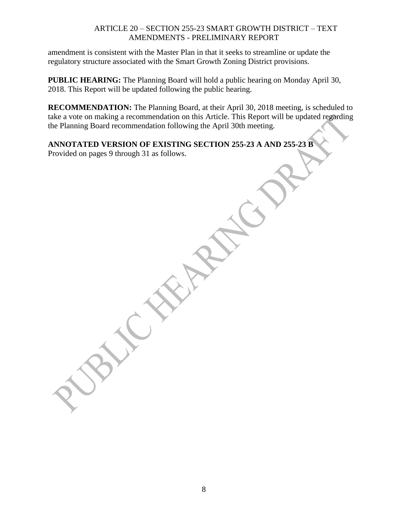amendment is consistent with the Master Plan in that it seeks to streamline or update the regulatory structure associated with the Smart Growth Zoning District provisions.

**PUBLIC HEARING:** The Planning Board will hold a public hearing on Monday April 30, 2018. This Report will be updated following the public hearing.

**RECOMMENDATION:** The Planning Board, at their April 30, 2018 meeting, is scheduled to take a vote on making a recommendation on this Article. This Report will be updated regarding the Planning Board recommendation following the April 30th meeting.

# **ANNOTATED VERSION OF EXISTING SECTION 255-23 A AND 255-23 B**

Provided on pages 9 through 31 as follows.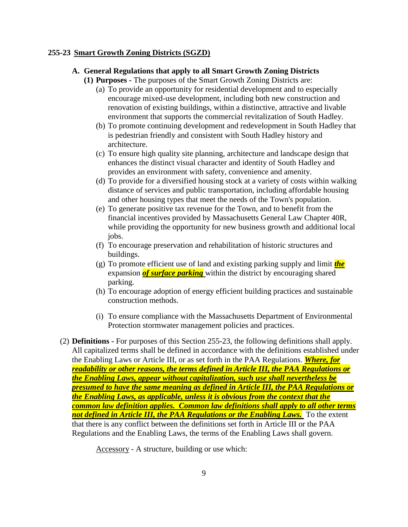#### **255-23 Smart Growth Zoning Districts (SGZD)**

#### **A. General Regulations that apply to all Smart Growth Zoning Districts**

**(1) Purposes -** The purposes of the Smart Growth Zoning Districts are:

- (a) To provide an opportunity for residential development and to especially encourage mixed-use development, including both new construction and renovation of existing buildings, within a distinctive, attractive and livable environment that supports the commercial revitalization of South Hadley.
- (b) To promote continuing development and redevelopment in South Hadley that is pedestrian friendly and consistent with South Hadley history and architecture.
- (c) To ensure high quality site planning, architecture and landscape design that enhances the distinct visual character and identity of South Hadley and provides an environment with safety, convenience and amenity.
- (d) To provide for a diversified housing stock at a variety of costs within walking distance of services and public transportation, including affordable housing and other housing types that meet the needs of the Town's population.
- (e) To generate positive tax revenue for the Town, and to benefit from the financial incentives provided by Massachusetts General Law Chapter 40R, while providing the opportunity for new business growth and additional local iobs.
- (f) To encourage preservation and rehabilitation of historic structures and buildings.
- (g) To promote efficient use of land and existing parking supply and limit *the* expansion *of surface parking* within the district by encouraging shared parking.
- (h) To encourage adoption of energy efficient building practices and sustainable construction methods.
- (i) To ensure compliance with the Massachusetts Department of Environmental Protection stormwater management policies and practices.
- (2) **Definitions -** For purposes of this Section 255-23, the following definitions shall apply. All capitalized terms shall be defined in accordance with the definitions established under the Enabling Laws or Article III, or as set forth in the PAA Regulations. *Where, for readability or other reasons, the terms defined in Article III, the PAA Regulations or the Enabling Laws, appear without capitalization, such use shall nevertheless be presumed to have the same meaning as defined in Article III, the PAA Regulations or the Enabling Laws, as applicable, unless it is obvious from the context that the common law definition applies. Common law definitions shall apply to all other terms not defined in Article III, the PAA Regulations or the Enabling Laws.* To the extent that there is any conflict between the definitions set forth in Article III or the PAA Regulations and the Enabling Laws, the terms of the Enabling Laws shall govern.

Accessory - A structure, building or use which: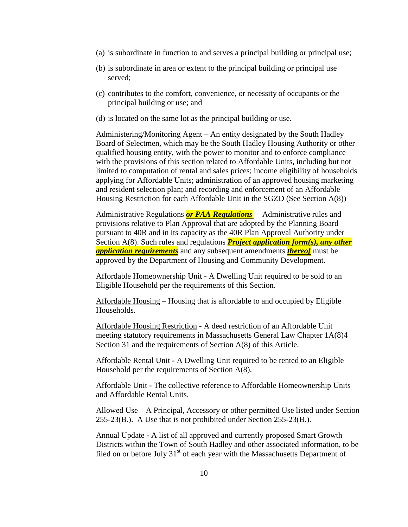- (a) is subordinate in function to and serves a principal building or principal use;
- (b) is subordinate in area or extent to the principal building or principal use served;
- (c) contributes to the comfort, convenience, or necessity of occupants or the principal building or use; and
- (d) is located on the same lot as the principal building or use.

Administering/Monitoring Agent – An entity designated by the South Hadley Board of Selectmen, which may be the South Hadley Housing Authority or other qualified housing entity, with the power to monitor and to enforce compliance with the provisions of this section related to Affordable Units, including but not limited to computation of rental and sales prices; income eligibility of households applying for Affordable Units; administration of an approved housing marketing and resident selection plan; and recording and enforcement of an Affordable Housing Restriction for each Affordable Unit in the SGZD (See Section A(8))

Administrative Regulations *or PAA Regulations* – Administrative rules and provisions relative to Plan Approval that are adopted by the Planning Board pursuant to 40R and in its capacity as the 40R Plan Approval Authority under Section A(8). Such rules and regulations *Project application form(s), any other application requirements* and any subsequent amendments *thereof* must be approved by the Department of Housing and Community Development.

Affordable Homeownership Unit **-** A Dwelling Unit required to be sold to an Eligible Household per the requirements of this Section.

Affordable Housing – Housing that is affordable to and occupied by Eligible Households.

Affordable Housing Restriction **-** A deed restriction of an Affordable Unit meeting statutory requirements in Massachusetts General Law Chapter 1A(8)4 Section 31 and the requirements of Section A(8) of this Article.

Affordable Rental Unit **-** A Dwelling Unit required to be rented to an Eligible Household per the requirements of Section A(8).

Affordable Unit **-** The collective reference to Affordable Homeownership Units and Affordable Rental Units.

Allowed Use – A Principal, Accessory or other permitted Use listed under Section 255-23(B.). A Use that is not prohibited under Section 255-23(B.).

Annual Update **-** A list of all approved and currently proposed Smart Growth Districts within the Town of South Hadley and other associated information, to be filed on or before July  $31<sup>st</sup>$  of each year with the Massachusetts Department of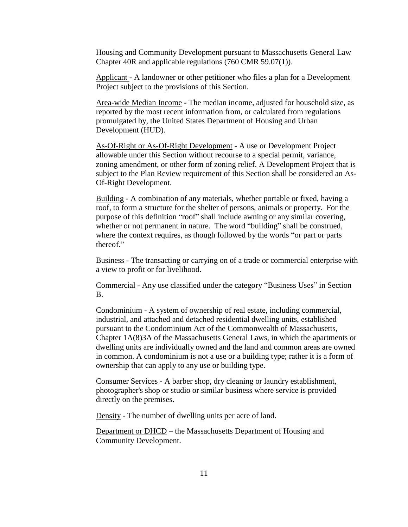Housing and Community Development pursuant to Massachusetts General Law Chapter 40R and applicable regulations (760 CMR 59.07(1)).

Applicant **-** A landowner or other petitioner who files a plan for a Development Project subject to the provisions of this Section.

Area-wide Median Income **-** The median income, adjusted for household size, as reported by the most recent information from, or calculated from regulations promulgated by, the United States Department of Housing and Urban Development (HUD).

As-Of-Right or As-Of-Right Development **-** A use or Development Project allowable under this Section without recourse to a special permit, variance, zoning amendment, or other form of zoning relief. A Development Project that is subject to the Plan Review requirement of this Section shall be considered an As-Of-Right Development.

Building - A combination of any materials, whether portable or fixed, having a roof, to form a structure for the shelter of persons, animals or property. For the purpose of this definition "roof" shall include awning or any similar covering, whether or not permanent in nature. The word "building" shall be construed, where the context requires, as though followed by the words "or part or parts thereof."

Business - The transacting or carrying on of a trade or commercial enterprise with a view to profit or for livelihood.

Commercial - Any use classified under the category "Business Uses" in Section B.

Condominium - A system of ownership of real estate, including commercial, industrial, and attached and detached residential dwelling units, established pursuant to the Condominium Act of the Commonwealth of Massachusetts, Chapter 1A(8)3A of the Massachusetts General Laws, in which the apartments or dwelling units are individually owned and the land and common areas are owned in common. A condominium is not a use or a building type; rather it is a form of ownership that can apply to any use or building type.

Consumer Services **-** A barber shop, dry cleaning or laundry establishment, photographer's shop or studio or similar business where service is provided directly on the premises.

Density - The number of dwelling units per acre of land.

Department or DHCD – the Massachusetts Department of Housing and Community Development.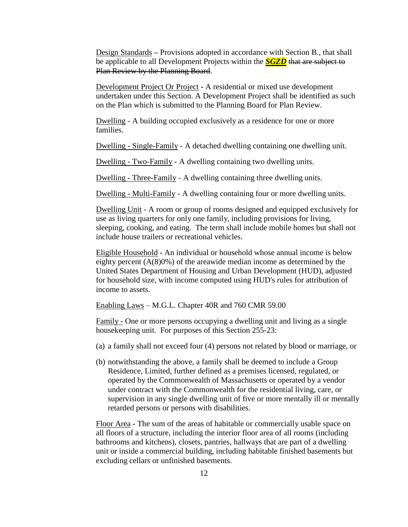Design Standards **–** Provisions adopted in accordance with Section B., that shall be applicable to all Development Projects within the *SGZD* that are subject to Plan Review by the Planning Board.

Development Project Or Project **-** A residential or mixed use development undertaken under this Section. A Development Project shall be identified as such on the Plan which is submitted to the Planning Board for Plan Review.

Dwelling - A building occupied exclusively as a residence for one or more families.

Dwelling - Single-Family - A detached dwelling containing one dwelling unit.

Dwelling - Two-Family - A dwelling containing two dwelling units.

Dwelling - Three-Family - A dwelling containing three dwelling units.

Dwelling - Multi-Family - A dwelling containing four or more dwelling units.

Dwelling Unit - A room or group of rooms designed and equipped exclusively for use as living quarters for only one family, including provisions for living, sleeping, cooking, and eating. The term shall include mobile homes but shall not include house trailers or recreational vehicles.

Eligible Household **-** An individual or household whose annual income is below eighty percent  $(A(8)0\%)$  of the areawide median income as determined by the United States Department of Housing and Urban Development (HUD), adjusted for household size, with income computed using HUD's rules for attribution of income to assets.

Enabling Laws – M.G.L. Chapter 40R and 760 CMR 59.00

Family - One or more persons occupying a dwelling unit and living as a single housekeeping unit. For purposes of this Section 255-23:

- (a) a family shall not exceed four (4) persons not related by blood or marriage, or
- (b) notwithstanding the above, a family shall be deemed to include a Group Residence, Limited, further defined as a premises licensed, regulated, or operated by the Commonwealth of Massachusetts or operated by a vendor under contract with the Commonwealth for the residential living, care, or supervision in any single dwelling unit of five or more mentally ill or mentally retarded persons or persons with disabilities.

Floor Area - The sum of the areas of habitable or commercially usable space on all floors of a structure, including the interior floor area of all rooms (including bathrooms and kitchens), closets, pantries, hallways that are part of a dwelling unit or inside a commercial building, including habitable finished basements but excluding cellars or unfinished basements.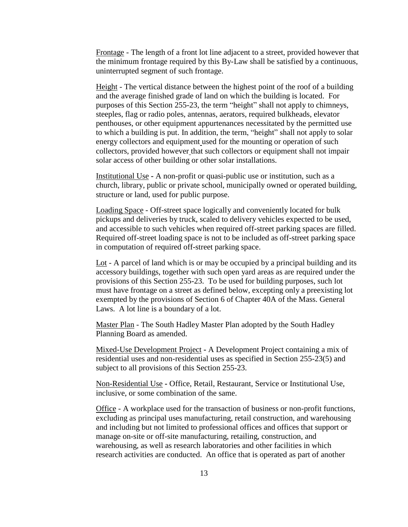Frontage - The length of a front lot line adjacent to a street, provided however that the minimum frontage required by this By-Law shall be satisfied by a continuous, uninterrupted segment of such frontage.

Height - The vertical distance between the highest point of the roof of a building and the average finished grade of land on which the building is located. For purposes of this Section 255-23, the term "height" shall not apply to chimneys, steeples, flag or radio poles, antennas, aerators, required bulkheads, elevator penthouses, or other equipment appurtenances necessitated by the permitted use to which a building is put. In addition, the term, "height" shall not apply to solar energy collectors and equipment used for the mounting or operation of such collectors, provided however that such collectors or equipment shall not impair solar access of other building or other solar installations.

Institutional Use **-** A non-profit or quasi-public use or institution, such as a church, library, public or private school, municipally owned or operated building, structure or land, used for public purpose.

Loading Space - Off-street space logically and conveniently located for bulk pickups and deliveries by truck, scaled to delivery vehicles expected to be used, and accessible to such vehicles when required off-street parking spaces are filled. Required off-street loading space is not to be included as off-street parking space in computation of required off-street parking space.

Lot - A parcel of land which is or may be occupied by a principal building and its accessory buildings, together with such open yard areas as are required under the provisions of this Section 255-23. To be used for building purposes, such lot must have frontage on a street as defined below, excepting only a preexisting lot exempted by the provisions of Section 6 of Chapter 40A of the Mass. General Laws. A lot line is a boundary of a lot.

Master Plan - The South Hadley Master Plan adopted by the South Hadley Planning Board as amended.

Mixed-Use Development Project **-** A Development Project containing a mix of residential uses and non-residential uses as specified in Section 255-23(5) and subject to all provisions of this Section 255-23.

Non-Residential Use **-** Office, Retail, Restaurant, Service or Institutional Use, inclusive, or some combination of the same.

Office - A workplace used for the transaction of business or non-profit functions, excluding as principal uses manufacturing, retail construction, and warehousing and including but not limited to professional offices and offices that support or manage on-site or off-site manufacturing, retailing, construction, and warehousing, as well as research laboratories and other facilities in which research activities are conducted. An office that is operated as part of another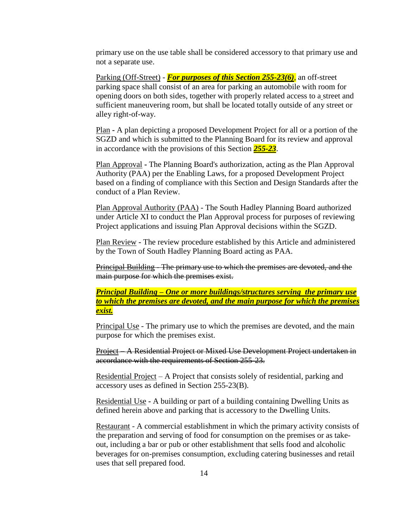primary use on the use table shall be considered accessory to that primary use and not a separate use.

Parking (Off-Street) - *For purposes of this Section 255-23(6)*, an off-street parking space shall consist of an area for parking an automobile with room for opening doors on both sides, together with properly related access to a street and sufficient maneuvering room, but shall be located totally outside of any street or alley right-of-way.

Plan **-** A plan depicting a proposed Development Project for all or a portion of the SGZD and which is submitted to the Planning Board for its review and approval in accordance with the provisions of this Section *255-23*.

Plan Approval **-** The Planning Board's authorization, acting as the Plan Approval Authority (PAA) per the Enabling Laws, for a proposed Development Project based on a finding of compliance with this Section and Design Standards after the conduct of a Plan Review.

Plan Approval Authority (PAA) - The South Hadley Planning Board authorized under Article XI to conduct the Plan Approval process for purposes of reviewing Project applications and issuing Plan Approval decisions within the SGZD.

Plan Review **-** The review procedure established by this Article and administered by the Town of South Hadley Planning Board acting as PAA.

Principal Building - The primary use to which the premises are devoted, and the main purpose for which the premises exist.

*Principal Building – One or more buildings/structures serving the primary use to which the premises are devoted, and the main purpose for which the premises exist.*

Principal Use - The primary use to which the premises are devoted, and the main purpose for which the premises exist.

Project – A Residential Project or Mixed Use Development Project undertaken in accordance with the requirements of Section 255-23.

Residential Project – A Project that consists solely of residential, parking and accessory uses as defined in Section 255-23(B).

Residential Use **-** A building or part of a building containing Dwelling Units as defined herein above and parking that is accessory to the Dwelling Units.

Restaurant - A commercial establishment in which the primary activity consists of the preparation and serving of food for consumption on the premises or as takeout, including a bar or pub or other establishment that sells food and alcoholic beverages for on-premises consumption, excluding catering businesses and retail uses that sell prepared food.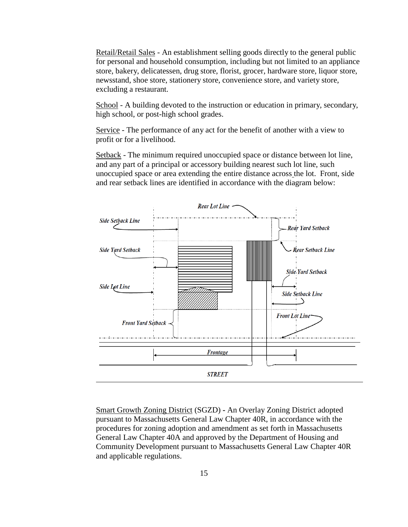Retail/Retail Sales - An establishment selling goods directly to the general public for personal and household consumption, including but not limited to an appliance store, bakery, delicatessen, drug store, florist, grocer, hardware store, liquor store, newsstand, shoe store, stationery store, convenience store, and variety store, excluding a restaurant.

School - A building devoted to the instruction or education in primary, secondary, high school, or post-high school grades.

Service - The performance of any act for the benefit of another with a view to profit or for a livelihood.

Setback - The minimum required unoccupied space or distance between lot line, and any part of a principal or accessory building nearest such lot line, such unoccupied space or area extending the entire distance across the lot. Front, side and rear setback lines are identified in accordance with the diagram below:



Smart Growth Zoning District (SGZD) **-** An Overlay Zoning District adopted pursuant to Massachusetts General Law Chapter 40R, in accordance with the procedures for zoning adoption and amendment as set forth in Massachusetts General Law Chapter 40A and approved by the Department of Housing and Community Development pursuant to Massachusetts General Law Chapter 40R and applicable regulations.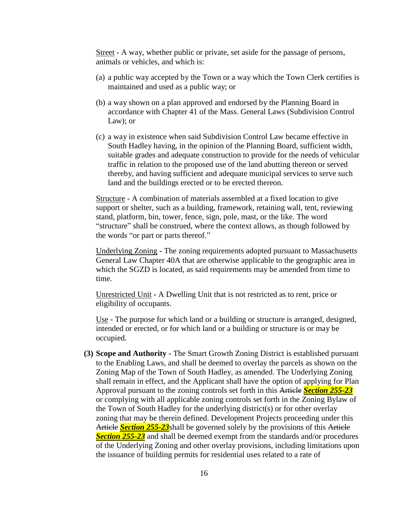Street - A way, whether public or private, set aside for the passage of persons, animals or vehicles, and which is:

- (a) a public way accepted by the Town or a way which the Town Clerk certifies is maintained and used as a public way; or
- (b) a way shown on a plan approved and endorsed by the Planning Board in accordance with Chapter 41 of the Mass. General Laws (Subdivision Control Law); or
- (c) a way in existence when said Subdivision Control Law became effective in South Hadley having, in the opinion of the Planning Board, sufficient width, suitable grades and adequate construction to provide for the needs of vehicular traffic in relation to the proposed use of the land abutting thereon or served thereby, and having sufficient and adequate municipal services to serve such land and the buildings erected or to be erected thereon.

Structure - A combination of materials assembled at a fixed location to give support or shelter, such as a building, framework, retaining wall, tent, reviewing stand, platform, bin, tower, fence, sign, pole, mast, or the like. The word "structure" shall be construed, where the context allows, as though followed by the words "or part or parts thereof."

Underlying Zoning **-** The zoning requirements adopted pursuant to Massachusetts General Law Chapter 40A that are otherwise applicable to the geographic area in which the SGZD is located, as said requirements may be amended from time to time.

Unrestricted Unit **-** A Dwelling Unit that is not restricted as to rent, price or eligibility of occupants.

Use - The purpose for which land or a building or structure is arranged, designed, intended or erected, or for which land or a building or structure is or may be occupied.

**(3) Scope and Authority -** The Smart Growth Zoning District is established pursuant to the Enabling Laws, and shall be deemed to overlay the parcels as shown on the Zoning Map of the Town of South Hadley, as amended. The Underlying Zoning shall remain in effect, and the Applicant shall have the option of applying for Plan Approval pursuant to the zoning controls set forth in this Article *Section 255-23* or complying with all applicable zoning controls set forth in the Zoning Bylaw of the Town of South Hadley for the underlying district(s) or for other overlay zoning that may be therein defined. Development Projects proceeding under this Article *Section 255-23*shall be governed solely by the provisions of this Article **Section 255-23** and shall be deemed exempt from the standards and/or procedures of the Underlying Zoning and other overlay provisions, including limitations upon the issuance of building permits for residential uses related to a rate of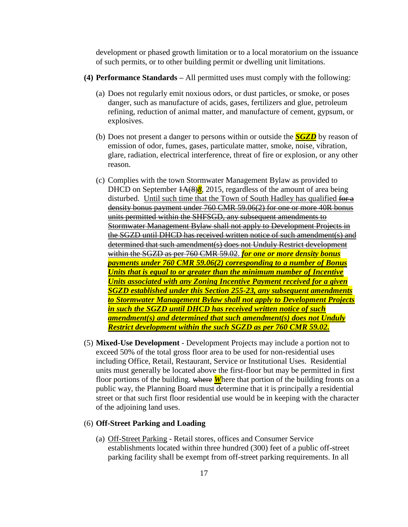development or phased growth limitation or to a local moratorium on the issuance of such permits, or to other building permit or dwelling unit limitations.

- **(4) Performance Standards –** All permitted uses must comply with the following:
	- (a) Does not regularly emit noxious odors, or dust particles, or smoke, or poses danger, such as manufacture of acids, gases, fertilizers and glue, petroleum refining, reduction of animal matter, and manufacture of cement, gypsum, or explosives.
	- (b) Does not present a danger to persons within or outside the *SGZD* by reason of emission of odor, fumes, gases, particulate matter, smoke, noise, vibration, glare, radiation, electrical interference, threat of fire or explosion, or any other reason.
	- (c) Complies with the town Stormwater Management Bylaw as provided to DHCD on September  $\frac{1A(8)8}{8}$ , 2015, regardless of the amount of area being disturbed. Until such time that the Town of South Hadley has qualified for a density bonus payment under 760 CMR 59.06(2) for one or more 40R bonus units permitted within the SHFSGD, any subsequent amendments to Stormwater Management Bylaw shall not apply to Development Projects in the SGZD until DHCD has received written notice of such amendment(s) and determined that such amendment(s) does not Unduly Restrict development within the SGZD as per 760 CMR 59.02. *for one or more density bonus payments under 760 CMR 59.06(2) corresponding to a number of Bonus Units that is equal to or greater than the minimum number of Incentive Units associated with any Zoning Incentive Payment received for a given SGZD established under this Section 255-23, any subsequent amendments to Stormwater Management Bylaw shall not apply to Development Projects in such the SGZD until DHCD has received written notice of such amendment(s) and determined that such amendment(s) does not Unduly Restrict development within the such SGZD as per 760 CMR 59.02.*
- (5) **Mixed-Use Development** Development Projects may include a portion not to exceed 50% of the total gross floor area to be used for non-residential uses including Office, Retail, Restaurant, Service or Institutional Uses. Residential units must generally be located above the first-floor but may be permitted in first floor portions of the building. where *W*here that portion of the building fronts on a public way, the Planning Board must determine that it is principally a residential street or that such first floor residential use would be in keeping with the character of the adjoining land uses.

#### (6) **Off-Street Parking and Loading**

(a) Off-Street Parking - Retail stores, offices and Consumer Service establishments located within three hundred (300) feet of a public off-street parking facility shall be exempt from off-street parking requirements. In all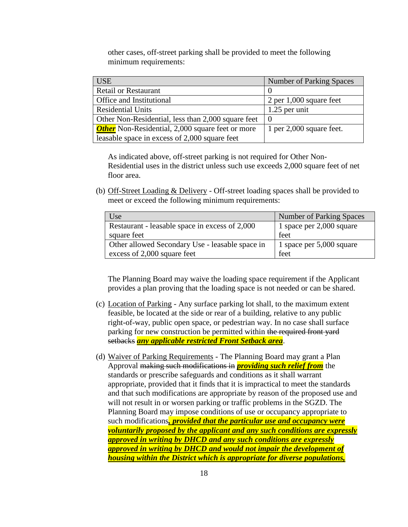other cases, off-street parking shall be provided to meet the following minimum requirements:

| <b>USE</b>                                              | <b>Number of Parking Spaces</b> |  |
|---------------------------------------------------------|---------------------------------|--|
| <b>Retail or Restaurant</b>                             |                                 |  |
| Office and Institutional                                | $2$ per 1,000 square feet       |  |
| <b>Residential Units</b>                                | $1.25$ per unit                 |  |
| Other Non-Residential, less than 2,000 square feet      |                                 |  |
| <b>Other</b> Non-Residential, 2,000 square feet or more | 1 per $2,000$ square feet.      |  |
| leasable space in excess of 2,000 square feet           |                                 |  |

As indicated above, off-street parking is not required for Other Non-Residential uses in the district unless such use exceeds 2,000 square feet of net floor area.

(b) Off-Street Loading & Delivery - Off-street loading spaces shall be provided to meet or exceed the following minimum requirements:

| Use                                             | <b>Number of Parking Spaces</b> |  |
|-------------------------------------------------|---------------------------------|--|
| Restaurant - leasable space in excess of 2,000  | 1 space per $2,000$ square      |  |
| square feet                                     | feet                            |  |
| Other allowed Secondary Use - leasable space in | 1 space per $5,000$ square      |  |
| excess of 2,000 square feet                     | feet                            |  |

The Planning Board may waive the loading space requirement if the Applicant provides a plan proving that the loading space is not needed or can be shared.

- (c) Location of Parking Any surface parking lot shall, to the maximum extent feasible, be located at the side or rear of a building, relative to any public right-of-way, public open space, or pedestrian way. In no case shall surface parking for new construction be permitted within the required front yard setbacks *any applicable restricted Front Setback area*.
- (d) Waiver of Parking Requirements The Planning Board may grant a Plan Approval making such modifications in *providing such relief from* the standards or prescribe safeguards and conditions as it shall warrant appropriate, provided that it finds that it is impractical to meet the standards and that such modifications are appropriate by reason of the proposed use and will not result in or worsen parking or traffic problems in the SGZD. The Planning Board may impose conditions of use or occupancy appropriate to such modifications*, provided that the particular use and occupancy were voluntarily proposed by the applicant and any such conditions are expressly approved in writing by DHCD and any such conditions are expressly approved in writing by DHCD and would not impair the development of housing within the District which is appropriate for diverse populations,*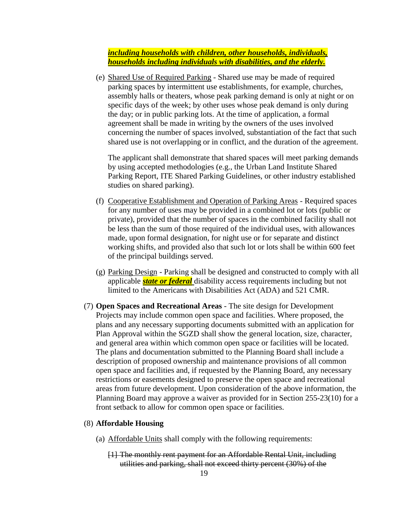*including households with children, other households, individuals, households including individuals with disabilities, and the elderly.*

(e) Shared Use of Required Parking - Shared use may be made of required parking spaces by intermittent use establishments, for example, churches, assembly halls or theaters, whose peak parking demand is only at night or on specific days of the week; by other uses whose peak demand is only during the day; or in public parking lots. At the time of application, a formal agreement shall be made in writing by the owners of the uses involved concerning the number of spaces involved, substantiation of the fact that such shared use is not overlapping or in conflict, and the duration of the agreement.

The applicant shall demonstrate that shared spaces will meet parking demands by using accepted methodologies (e.g., the Urban Land Institute Shared Parking Report, ITE Shared Parking Guidelines, or other industry established studies on shared parking).

- (f) Cooperative Establishment and Operation of Parking Areas Required spaces for any number of uses may be provided in a combined lot or lots (public or private), provided that the number of spaces in the combined facility shall not be less than the sum of those required of the individual uses, with allowances made, upon formal designation, for night use or for separate and distinct working shifts, and provided also that such lot or lots shall be within 600 feet of the principal buildings served.
- (g) Parking Design Parking shall be designed and constructed to comply with all applicable *state or federal* disability access requirements including but not limited to the Americans with Disabilities Act (ADA) and 521 CMR.
- (7) **Open Spaces and Recreational Areas** The site design for Development Projects may include common open space and facilities. Where proposed, the plans and any necessary supporting documents submitted with an application for Plan Approval within the SGZD shall show the general location, size, character, and general area within which common open space or facilities will be located. The plans and documentation submitted to the Planning Board shall include a description of proposed ownership and maintenance provisions of all common open space and facilities and, if requested by the Planning Board, any necessary restrictions or easements designed to preserve the open space and recreational areas from future development. Upon consideration of the above information, the Planning Board may approve a waiver as provided for in Section 255-23(10) for a front setback to allow for common open space or facilities.

#### (8) **Affordable Housing**

- (a) Affordable Units shall comply with the following requirements:
	- [1] The monthly rent payment for an Affordable Rental Unit, including utilities and parking, shall not exceed thirty percent (30%) of the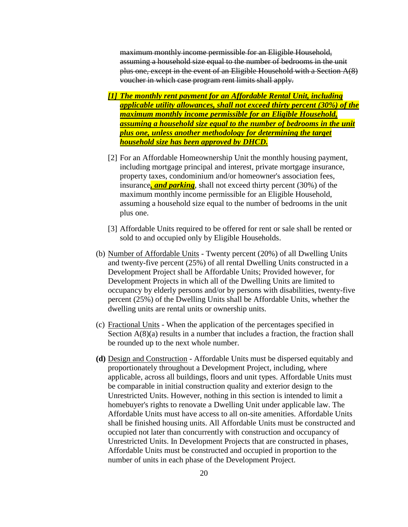maximum monthly income permissible for an Eligible Household, assuming a household size equal to the number of bedrooms in the unit plus one, except in the event of an Eligible Household with a Section  $A(8)$ voucher in which case program rent limits shall apply.

- *[1] The monthly rent payment for an Affordable Rental Unit, including applicable utility allowances, shall not exceed thirty percent (30%) of the maximum monthly income permissible for an Eligible Household, assuming a household size equal to the number of bedrooms in the unit plus one, unless another methodology for determining the target household size has been approved by DHCD.*
- [2] For an Affordable Homeownership Unit the monthly housing payment, including mortgage principal and interest, private mortgage insurance, property taxes, condominium and/or homeowner's association fees, insurance*, and parking*, shall not exceed thirty percent (30%) of the maximum monthly income permissible for an Eligible Household, assuming a household size equal to the number of bedrooms in the unit plus one.
- [3] Affordable Units required to be offered for rent or sale shall be rented or sold to and occupied only by Eligible Households.
- (b) Number of Affordable Units Twenty percent (20%) of all Dwelling Units and twenty-five percent (25%) of all rental Dwelling Units constructed in a Development Project shall be Affordable Units; Provided however, for Development Projects in which all of the Dwelling Units are limited to occupancy by elderly persons and/or by persons with disabilities, twenty-five percent (25%) of the Dwelling Units shall be Affordable Units, whether the dwelling units are rental units or ownership units.
- (c) Fractional Units When the application of the percentages specified in Section A(8)(a) results in a number that includes a fraction, the fraction shall be rounded up to the next whole number.
- **(d)** Design and Construction Affordable Units must be dispersed equitably and proportionately throughout a Development Project, including, where applicable, across all buildings, floors and unit types. Affordable Units must be comparable in initial construction quality and exterior design to the Unrestricted Units. However, nothing in this section is intended to limit a homebuyer's rights to renovate a Dwelling Unit under applicable law. The Affordable Units must have access to all on-site amenities. Affordable Units shall be finished housing units. All Affordable Units must be constructed and occupied not later than concurrently with construction and occupancy of Unrestricted Units. In Development Projects that are constructed in phases, Affordable Units must be constructed and occupied in proportion to the number of units in each phase of the Development Project.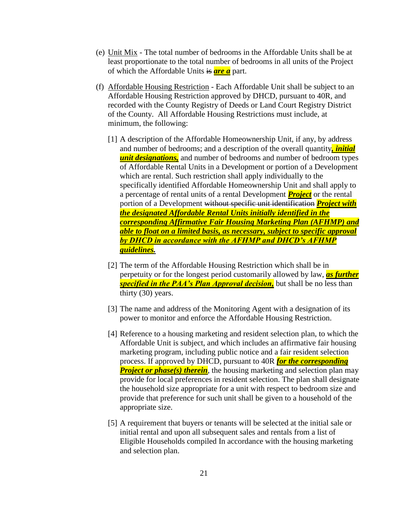- (e) Unit Mix The total number of bedrooms in the Affordable Units shall be at least proportionate to the total number of bedrooms in all units of the Project of which the Affordable Units is *are a* part.
- (f) Affordable Housing Restriction Each Affordable Unit shall be subject to an Affordable Housing Restriction approved by DHCD, pursuant to 40R, and recorded with the County Registry of Deeds or Land Court Registry District of the County. All Affordable Housing Restrictions must include, at minimum, the following:
	- [1] A description of the Affordable Homeownership Unit, if any, by address and number of bedrooms; and a description of the overall quantity*, initial unit designations,* and number of bedrooms and number of bedroom types of Affordable Rental Units in a Development or portion of a Development which are rental. Such restriction shall apply individually to the specifically identified Affordable Homeownership Unit and shall apply to a percentage of rental units of a rental Development *Project* or the rental portion of a Development without specific unit identification *Project with the designated Affordable Rental Units initially identified in the corresponding Affirmative Fair Housing Marketing Plan (AFHMP) and able to float on a limited basis, as necessary, subject to specific approval by DHCD in accordance with the AFHMP and DHCD's AFHMP guidelines.*
	- [2] The term of the Affordable Housing Restriction which shall be in perpetuity or for the longest period customarily allowed by law, *as further specified in the PAA's Plan Approval decision,* but shall be no less than thirty (30) years.
	- [3] The name and address of the Monitoring Agent with a designation of its power to monitor and enforce the Affordable Housing Restriction.
	- [4] Reference to a housing marketing and resident selection plan, to which the Affordable Unit is subject, and which includes an affirmative fair housing marketing program, including public notice and a fair resident selection process. If approved by DHCD, pursuant to 40R *for the corresponding Project or phase(s) therein*, the housing marketing and selection plan may provide for local preferences in resident selection. The plan shall designate the household size appropriate for a unit with respect to bedroom size and provide that preference for such unit shall be given to a household of the appropriate size.
	- [5] A requirement that buyers or tenants will be selected at the initial sale or initial rental and upon all subsequent sales and rentals from a list of Eligible Households compiled In accordance with the housing marketing and selection plan.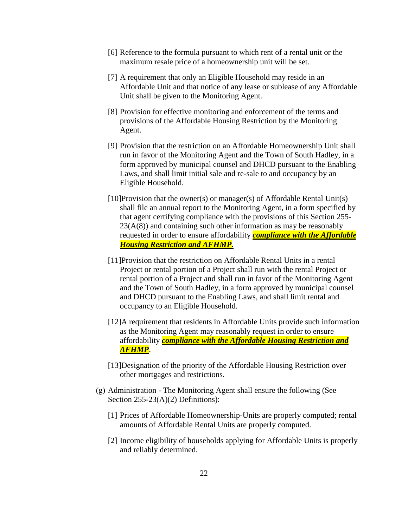- [6] Reference to the formula pursuant to which rent of a rental unit or the maximum resale price of a homeownership unit will be set.
- [7] A requirement that only an Eligible Household may reside in an Affordable Unit and that notice of any lease or sublease of any Affordable Unit shall be given to the Monitoring Agent.
- [8] Provision for effective monitoring and enforcement of the terms and provisions of the Affordable Housing Restriction by the Monitoring Agent.
- [9] Provision that the restriction on an Affordable Homeownership Unit shall run in favor of the Monitoring Agent and the Town of South Hadley, in a form approved by municipal counsel and DHCD pursuant to the Enabling Laws, and shall limit initial sale and re-sale to and occupancy by an Eligible Household.
- $[10]$ Provision that the owner(s) or manager(s) of Affordable Rental Unit(s) shall file an annual report to the Monitoring Agent, in a form specified by that agent certifying compliance with the provisions of this Section 255-  $23(A(8))$  and containing such other information as may be reasonably requested in order to ensure affordability *compliance with the Affordable Housing Restriction and AFHMP.*
- [11]Provision that the restriction on Affordable Rental Units in a rental Project or rental portion of a Project shall run with the rental Project or rental portion of a Project and shall run in favor of the Monitoring Agent and the Town of South Hadley, in a form approved by municipal counsel and DHCD pursuant to the Enabling Laws, and shall limit rental and occupancy to an Eligible Household.
- [12]A requirement that residents in Affordable Units provide such information as the Monitoring Agent may reasonably request in order to ensure affordability *compliance with the Affordable Housing Restriction and AFHMP*.
- [13]Designation of the priority of the Affordable Housing Restriction over other mortgages and restrictions.
- (g) Administration The Monitoring Agent shall ensure the following (See Section 255-23(A)(2) Definitions):
	- [1] Prices of Affordable Homeownership-Units are properly computed; rental amounts of Affordable Rental Units are properly computed.
	- [2] Income eligibility of households applying for Affordable Units is properly and reliably determined.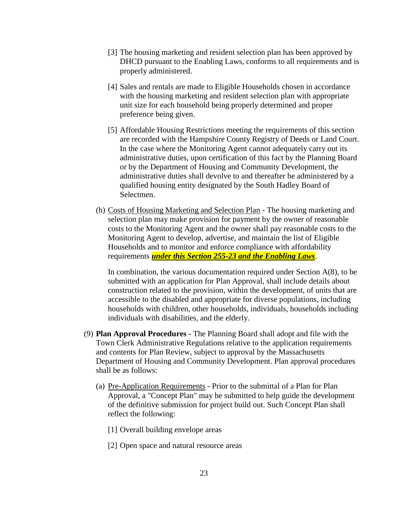- [3] The housing marketing and resident selection plan has been approved by DHCD pursuant to the Enabling Laws, conforms to all requirements and is properly administered.
- [4] Sales and rentals are made to Eligible Households chosen in accordance with the housing marketing and resident selection plan with appropriate unit size for each household being properly determined and proper preference being given.
- [5] Affordable Housing Restrictions meeting the requirements of this section are recorded with the Hampshire County Registry of Deeds or Land Court. In the case where the Monitoring Agent cannot adequately carry out its administrative duties, upon certification of this fact by the Planning Board or by the Department of Housing and Community Development, the administrative duties shall devolve to and thereafter be administered by a qualified housing entity designated by the South Hadley Board of Selectmen.
- (h) Costs of Housing Marketing and Selection Plan The housing marketing and selection plan may make provision for payment by the owner of reasonable costs to the Monitoring Agent and the owner shall pay reasonable costs to the Monitoring Agent to develop, advertise, and maintain the list of Eligible Households and to monitor and enforce compliance with affordability requirements *under this Section 255-23 and the Enabling Laws*.

In combination, the various documentation required under Section  $A(8)$ , to be submitted with an application for Plan Approval, shall include details about construction related to the provision, within the development, of units that are accessible to the disabled and appropriate for diverse populations, including households with children, other households, individuals, households including individuals with disabilities, and the elderly.

- (9) **Plan Approval Procedures -** The Planning Board shall adopt and file with the Town Clerk Administrative Regulations relative to the application requirements and contents for Plan Review, subject to approval by the Massachusetts Department of Housing and Community Development. Plan approval procedures shall be as follows:
	- (a) Pre-Application Requirements Prior to the submittal of a Plan for Plan Approval, a "Concept Plan" may be submitted to help guide the development of the definitive submission for project build out. Such Concept Plan shall reflect the following:
		- [1] Overall building envelope areas
		- [2] Open space and natural resource areas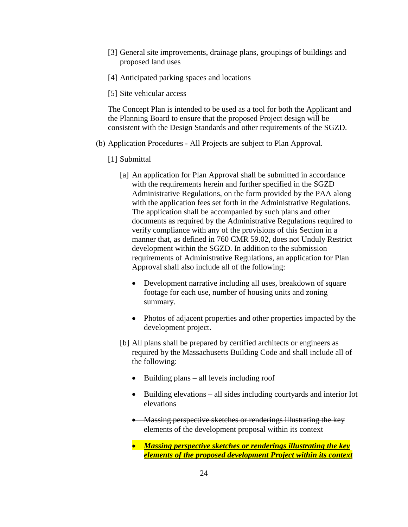- [3] General site improvements, drainage plans, groupings of buildings and proposed land uses
- [4] Anticipated parking spaces and locations
- [5] Site vehicular access

The Concept Plan is intended to be used as a tool for both the Applicant and the Planning Board to ensure that the proposed Project design will be consistent with the Design Standards and other requirements of the SGZD.

- (b) Application Procedures All Projects are subject to Plan Approval.
	- [1] Submittal
		- [a] An application for Plan Approval shall be submitted in accordance with the requirements herein and further specified in the SGZD Administrative Regulations, on the form provided by the PAA along with the application fees set forth in the Administrative Regulations. The application shall be accompanied by such plans and other documents as required by the Administrative Regulations required to verify compliance with any of the provisions of this Section in a manner that, as defined in 760 CMR 59.02, does not Unduly Restrict development within the SGZD. In addition to the submission requirements of Administrative Regulations, an application for Plan Approval shall also include all of the following:
			- Development narrative including all uses, breakdown of square footage for each use, number of housing units and zoning summary.
			- Photos of adjacent properties and other properties impacted by the development project.
		- [b] All plans shall be prepared by certified architects or engineers as required by the Massachusetts Building Code and shall include all of the following:
			- $\bullet$  Building plans all levels including roof
			- Building elevations all sides including courtyards and interior lot elevations
			- Massing perspective sketches or renderings illustrating the key elements of the development proposal within its context
			- *Massing perspective sketches or renderings illustrating the key elements of the proposed development Project within its context*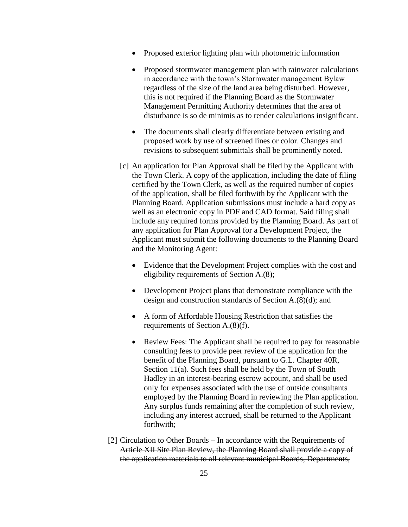- Proposed exterior lighting plan with photometric information
- Proposed stormwater management plan with rainwater calculations in accordance with the town's Stormwater management Bylaw regardless of the size of the land area being disturbed. However, this is not required if the Planning Board as the Stormwater Management Permitting Authority determines that the area of disturbance is so de minimis as to render calculations insignificant.
- The documents shall clearly differentiate between existing and proposed work by use of screened lines or color. Changes and revisions to subsequent submittals shall be prominently noted.
- [c] An application for Plan Approval shall be filed by the Applicant with the Town Clerk. A copy of the application, including the date of filing certified by the Town Clerk, as well as the required number of copies of the application, shall be filed forthwith by the Applicant with the Planning Board. Application submissions must include a hard copy as well as an electronic copy in PDF and CAD format. Said filing shall include any required forms provided by the Planning Board. As part of any application for Plan Approval for a Development Project, the Applicant must submit the following documents to the Planning Board and the Monitoring Agent:
	- Evidence that the Development Project complies with the cost and eligibility requirements of Section A.(8);
	- Development Project plans that demonstrate compliance with the design and construction standards of Section A.(8)(d); and
	- A form of Affordable Housing Restriction that satisfies the requirements of Section A.(8)(f).
	- Review Fees: The Applicant shall be required to pay for reasonable consulting fees to provide peer review of the application for the benefit of the Planning Board, pursuant to G.L. Chapter 40R, Section 11(a). Such fees shall be held by the Town of South Hadley in an interest-bearing escrow account, and shall be used only for expenses associated with the use of outside consultants employed by the Planning Board in reviewing the Plan application. Any surplus funds remaining after the completion of such review, including any interest accrued, shall be returned to the Applicant forthwith;
- [2] Circulation to Other Boards In accordance with the Requirements of Article XII Site Plan Review, the Planning Board shall provide a copy of the application materials to all relevant municipal Boards, Departments,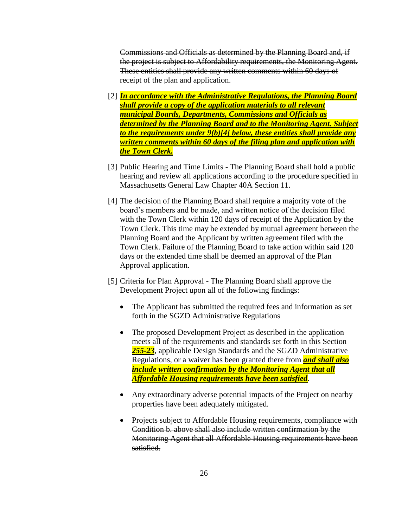Commissions and Officials as determined by the Planning Board and, if the project is subject to Affordability requirements, the Monitoring Agent. These entities shall provide any written comments within 60 days of receipt of the plan and application.

- [2] *In accordance with the Administrative Regulations, the Planning Board shall provide a copy of the application materials to all relevant municipal Boards, Departments, Commissions and Officials as determined by the Planning Board and to the Monitoring Agent. Subject to the requirements under 9(b)[4] below, these entities shall provide any written comments within 60 days of the filing plan and application with the Town Clerk.*
- [3] Public Hearing and Time Limits The Planning Board shall hold a public hearing and review all applications according to the procedure specified in Massachusetts General Law Chapter 40A Section 11.
- [4] The decision of the Planning Board shall require a majority vote of the board's members and be made, and written notice of the decision filed with the Town Clerk within 120 days of receipt of the Application by the Town Clerk. This time may be extended by mutual agreement between the Planning Board and the Applicant by written agreement filed with the Town Clerk. Failure of the Planning Board to take action within said 120 days or the extended time shall be deemed an approval of the Plan Approval application.
- [5] Criteria for Plan Approval The Planning Board shall approve the Development Project upon all of the following findings:
	- The Applicant has submitted the required fees and information as set forth in the SGZD Administrative Regulations
	- The proposed Development Project as described in the application meets all of the requirements and standards set forth in this Section *255-23*, applicable Design Standards and the SGZD Administrative Regulations, or a waiver has been granted there from *and shall also include written confirmation by the Monitoring Agent that all Affordable Housing requirements have been satisfied*.
	- Any extraordinary adverse potential impacts of the Project on nearby properties have been adequately mitigated.
	- Projects subject to Affordable Housing requirements, compliance with Condition b. above shall also include written confirmation by the Monitoring Agent that all Affordable Housing requirements have been satisfied.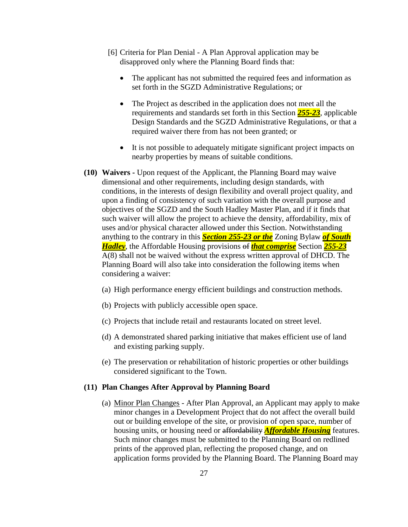- [6] Criteria for Plan Denial A Plan Approval application may be disapproved only where the Planning Board finds that:
	- The applicant has not submitted the required fees and information as set forth in the SGZD Administrative Regulations; or
	- The Project as described in the application does not meet all the requirements and standards set forth in this Section *255-23*, applicable Design Standards and the SGZD Administrative Regulations, or that a required waiver there from has not been granted; or
	- It is not possible to adequately mitigate significant project impacts on nearby properties by means of suitable conditions.
- **(10) Waivers -** Upon request of the Applicant, the Planning Board may waive dimensional and other requirements, including design standards, with conditions, in the interests of design flexibility and overall project quality, and upon a finding of consistency of such variation with the overall purpose and objectives of the SGZD and the South Hadley Master Plan, and if it finds that such waiver will allow the project to achieve the density, affordability, mix of uses and/or physical character allowed under this Section. Notwithstanding anything to the contrary in this *Section 255-23 or the* Zoning Bylaw *of South Hadley*, the Affordable Housing provisions of *that comprise* Section *255-23* A(8) shall not be waived without the express written approval of DHCD. The Planning Board will also take into consideration the following items when considering a waiver:
	- (a) High performance energy efficient buildings and construction methods.
	- (b) Projects with publicly accessible open space.
	- (c) Projects that include retail and restaurants located on street level.
	- (d) A demonstrated shared parking initiative that makes efficient use of land and existing parking supply.
	- (e) The preservation or rehabilitation of historic properties or other buildings considered significant to the Town.

#### **(11) Plan Changes After Approval by Planning Board**

(a) Minor Plan Changes - After Plan Approval, an Applicant may apply to make minor changes in a Development Project that do not affect the overall build out or building envelope of the site, or provision of open space, number of housing units, or housing need or affordability *Affordable Housing* features. Such minor changes must be submitted to the Planning Board on redlined prints of the approved plan, reflecting the proposed change, and on application forms provided by the Planning Board. The Planning Board may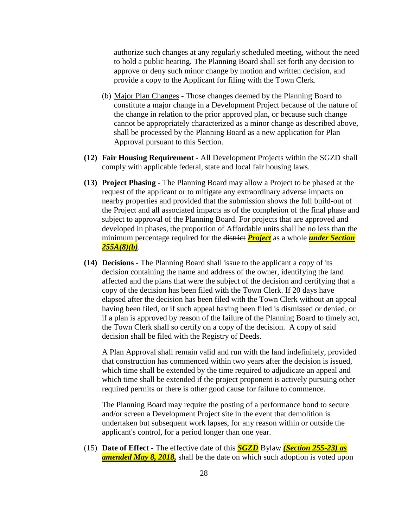authorize such changes at any regularly scheduled meeting, without the need to hold a public hearing. The Planning Board shall set forth any decision to approve or deny such minor change by motion and written decision, and provide a copy to the Applicant for filing with the Town Clerk.

- (b) Major Plan Changes Those changes deemed by the Planning Board to constitute a major change in a Development Project because of the nature of the change in relation to the prior approved plan, or because such change cannot be appropriately characterized as a minor change as described above, shall be processed by the Planning Board as a new application for Plan Approval pursuant to this Section.
- **(12) Fair Housing Requirement -** All Development Projects within the SGZD shall comply with applicable federal, state and local fair housing laws.
- **(13) Project Phasing -** The Planning Board may allow a Project to be phased at the request of the applicant or to mitigate any extraordinary adverse impacts on nearby properties and provided that the submission shows the full build-out of the Project and all associated impacts as of the completion of the final phase and subject to approval of the Planning Board. For projects that are approved and developed in phases, the proportion of Affordable units shall be no less than the minimum percentage required for the district *Project* as a whole *under Section 255A(8)(b)*.
- **(14) Decisions -** The Planning Board shall issue to the applicant a copy of its decision containing the name and address of the owner, identifying the land affected and the plans that were the subject of the decision and certifying that a copy of the decision has been filed with the Town Clerk. If 20 days have elapsed after the decision has been filed with the Town Clerk without an appeal having been filed, or if such appeal having been filed is dismissed or denied, or if a plan is approved by reason of the failure of the Planning Board to timely act, the Town Clerk shall so certify on a copy of the decision. A copy of said decision shall be filed with the Registry of Deeds.

A Plan Approval shall remain valid and run with the land indefinitely, provided that construction has commenced within two years after the decision is issued, which time shall be extended by the time required to adjudicate an appeal and which time shall be extended if the project proponent is actively pursuing other required permits or there is other good cause for failure to commence.

The Planning Board may require the posting of a performance bond to secure and/or screen a Development Project site in the event that demolition is undertaken but subsequent work lapses, for any reason within or outside the applicant's control, for a period longer than one year.

(15) **Date of Effect -** The effective date of this *SGZD* Bylaw *(Section 255-23) as amended May 8, 2018,* shall be the date on which such adoption is voted upon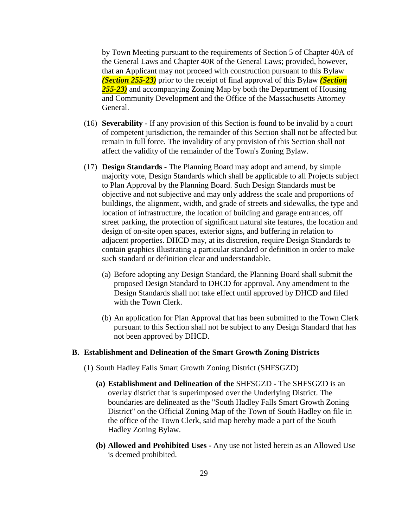by Town Meeting pursuant to the requirements of Section 5 of Chapter 40A of the General Laws and Chapter 40R of the General Laws; provided, however, that an Applicant may not proceed with construction pursuant to this Bylaw *(Section 255-23)* prior to the receipt of final approval of this Bylaw *(Section 255-23)* and accompanying Zoning Map by both the Department of Housing and Community Development and the Office of the Massachusetts Attorney General.

- (16) **Severability -** If any provision of this Section is found to be invalid by a court of competent jurisdiction, the remainder of this Section shall not be affected but remain in full force. The invalidity of any provision of this Section shall not affect the validity of the remainder of the Town's Zoning Bylaw.
- (17) **Design Standards -** The Planning Board may adopt and amend, by simple majority vote, Design Standards which shall be applicable to all Projects subject to Plan Approval by the Planning Board. Such Design Standards must be objective and not subjective and may only address the scale and proportions of buildings, the alignment, width, and grade of streets and sidewalks, the type and location of infrastructure, the location of building and garage entrances, off street parking, the protection of significant natural site features, the location and design of on-site open spaces, exterior signs, and buffering in relation to adjacent properties. DHCD may, at its discretion, require Design Standards to contain graphics illustrating a particular standard or definition in order to make such standard or definition clear and understandable.
	- (a) Before adopting any Design Standard, the Planning Board shall submit the proposed Design Standard to DHCD for approval. Any amendment to the Design Standards shall not take effect until approved by DHCD and filed with the Town Clerk.
	- (b) An application for Plan Approval that has been submitted to the Town Clerk pursuant to this Section shall not be subject to any Design Standard that has not been approved by DHCD.

#### **B. Establishment and Delineation of the Smart Growth Zoning Districts**

- (1) South Hadley Falls Smart Growth Zoning District (SHFSGZD)
	- **(a) Establishment and Delineation of the** SHFSGZD **-** The SHFSGZD is an overlay district that is superimposed over the Underlying District. The boundaries are delineated as the "South Hadley Falls Smart Growth Zoning District" on the Official Zoning Map of the Town of South Hadley on file in the office of the Town Clerk, said map hereby made a part of the South Hadley Zoning Bylaw.
	- **(b) Allowed and Prohibited Uses -** Any use not listed herein as an Allowed Use is deemed prohibited.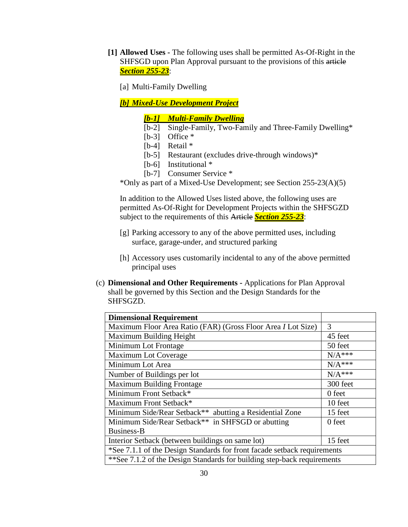**[1] Allowed Uses -** The following uses shall be permitted As-Of-Right in the SHFSGD upon Plan Approval pursuant to the provisions of this article *Section 255-23*:

[a] Multi-Family Dwelling

*[b] Mixed-Use Development Project*

*[b-1] Multi-Family Dwelling*

- [b-2] Single-Family, Two-Family and Three-Family Dwelling\*
- [b-3] Office  $*$
- [b-4] Retail \*
- [b-5] Restaurant (excludes drive-through windows)\*
- [b-6] Institutional  $*$
- [b-7] Consumer Service \*

\*Only as part of a Mixed-Use Development; see Section 255-23(A)(5)

In addition to the Allowed Uses listed above, the following uses are permitted As-Of-Right for Development Projects within the SHFSGZD subject to the requirements of this Article *Section 255-23*:

- [g] Parking accessory to any of the above permitted uses, including surface, garage-under, and structured parking
- [h] Accessory uses customarily incidental to any of the above permitted principal uses
- (c) **Dimensional and Other Requirements -** Applications for Plan Approval shall be governed by this Section and the Design Standards for the SHFSGZD.

| <b>Dimensional Requirement</b>                                           |               |  |
|--------------------------------------------------------------------------|---------------|--|
| Maximum Floor Area Ratio (FAR) (Gross Floor Area <i>I</i> Lot Size)      | $\mathcal{R}$ |  |
| Maximum Building Height                                                  | 45 feet       |  |
| Minimum Lot Frontage                                                     | 50 feet       |  |
| Maximum Lot Coverage                                                     | $N/A***$      |  |
| Minimum Lot Area                                                         | $N/A***$      |  |
| Number of Buildings per lot                                              | $N/A***$      |  |
| <b>Maximum Building Frontage</b>                                         | 300 feet      |  |
| Minimum Front Setback*                                                   | 0 feet        |  |
| Maximum Front Setback*                                                   | 10 feet       |  |
| Minimum Side/Rear Setback** abutting a Residential Zone                  | 15 feet       |  |
| Minimum Side/Rear Setback <sup>**</sup> in SHFSGD or abutting            | 0 feet        |  |
| Business-B                                                               |               |  |
| Interior Setback (between buildings on same lot)                         | 15 feet       |  |
| *See 7.1.1 of the Design Standards for front facade setback requirements |               |  |
| **See 7.1.2 of the Design Standards for building step-back requirements  |               |  |